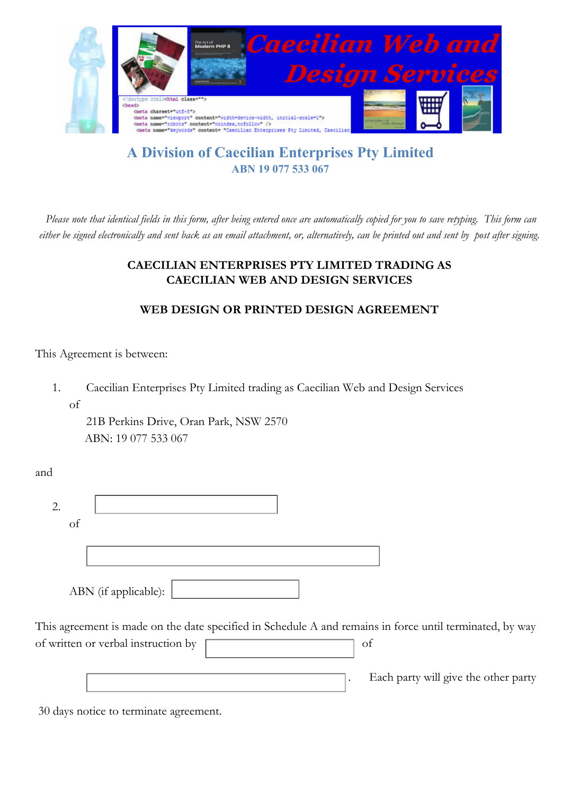

# **A Division of Caecilian Enterprises Pty Limited ABN 19 077 533 067**

*Please note that identical fields in this form, after being entered once are automatically copied for you to save retyping. This form can either be signed electronically and sent back as an email attachment, or, alternatively, can be printed out and sent by post after signing.*

### **CAECILIAN ENTERPRISES PTY LIMITED TRADING AS CAECILIAN WEB AND DESIGN SERVICES**

## **WEB DESIGN OR PRINTED DESIGN AGREEMENT**

This Agreement is between:

1. Caecilian Enterprises Pty Limited trading as Caecilian Web and Design Services of

21B Perkins Drive, Oran Park, NSW 2570 ABN: 19 077 533 067

and

| Оİ |                      |  |
|----|----------------------|--|
|    |                      |  |
|    |                      |  |
|    |                      |  |
|    | ABN (if applicable): |  |

This agreement is made on the date specified in Schedule A and remains in force until terminated, by way of written or verbal instruction by **contain the set of set of set of set of set of set of set of set of set of set of set of set of set of set of set of set of set of set of set of set of set of set of set of set of set o** 

. Each party will give the other party

30 days notice to terminate agreement.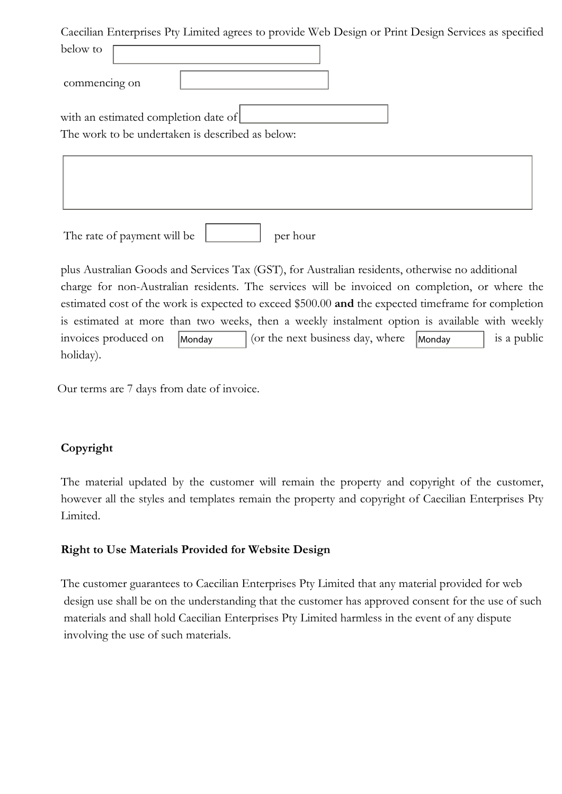Caecilian Enterprises Pty Limited agrees to provide Web Design or Print Design Services as specified below to commencing on with an estimated completion date of The work to be undertaken is described as below:  $\overline{\phantom{a}}$  $\overline{\phantom{a}}$  $\overline{\phantom{a}}$ The rate of payment will be  $\qquad \qquad$  per hour plus Australian Goods and Services Tax (GST), for Australian residents, otherwise no additional charge for non-Australian residents. The services will be invoiced on completion, or where the estimated cost of the work is expected to exceed \$500.00 **and** the expected timeframe for completion is estimated at more than two weeks, then a weekly instalment option is available with weekly invoices produced on  $\begin{array}{|l|}\n\hline\n\end{array}$  Monday  $\begin{array}{|l|}\n\hline\n\end{array}$  (or the next business day, where  $\begin{array}{|l|}\n\hline\n\end{array}$  Monday  $\begin{array}{|l|}\n\hline\n\end{array}$  is a public holiday).

Our terms are 7 days from date of invoice.

## **Copyright**

The material updated by the customer will remain the property and copyright of the customer, however all the styles and templates remain the property and copyright of Caecilian Enterprises Pty Limited.

## **Right to Use Materials Provided for Website Design**

The customer guarantees to Caecilian Enterprises Pty Limited that any material provided for web design use shall be on the understanding that the customer has approved consent for the use of such materials and shall hold Caecilian Enterprises Pty Limited harmless in the event of any dispute involving the use of such materials.